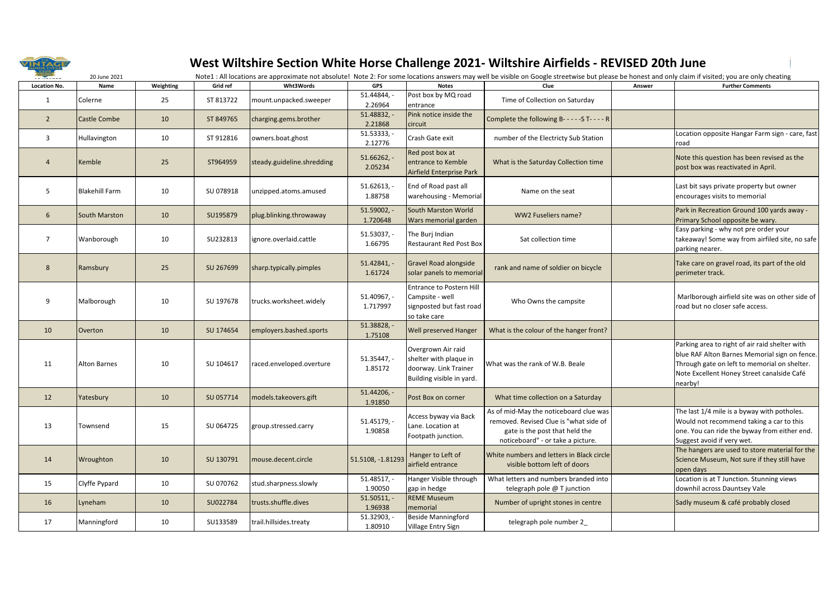

## **West Wiltshire Section White Horse Challenge 2021- Wiltshire Airfields - REVISED 20th June**

| <b>TAYEARS</b>      | 20 June 2021          |           |           |                            |                           |                                                                                                    | Note1 : All locations are approximate not absolute! Note 2: For some locations answers may well be visible on Google streetwise but please be honest and only claim if visited; you are only cheating |        |                                                                                                                                                                                                          |
|---------------------|-----------------------|-----------|-----------|----------------------------|---------------------------|----------------------------------------------------------------------------------------------------|-------------------------------------------------------------------------------------------------------------------------------------------------------------------------------------------------------|--------|----------------------------------------------------------------------------------------------------------------------------------------------------------------------------------------------------------|
| <b>Location No.</b> | Name                  | Weighting | Grid ref  | Wht3Words                  | GPS                       | <b>Notes</b>                                                                                       | Clue                                                                                                                                                                                                  | Answer | <b>Further Comments</b>                                                                                                                                                                                  |
| 1                   | Colerne               | 25        | ST 813722 | mount.unpacked.sweeper     | 51.44844,<br>2.26964      | Post box by MQ road<br>entrance                                                                    | Time of Collection on Saturday                                                                                                                                                                        |        |                                                                                                                                                                                                          |
| $\overline{2}$      | <b>Castle Combe</b>   | 10        | ST 849765 | charging.gems.brother      | 51.48832,<br>2.21868      | Pink notice inside the<br>circuit                                                                  | Complete the following B- - - - - S T- - - - R                                                                                                                                                        |        |                                                                                                                                                                                                          |
| 3                   | Hullavington          | 10        | ST 912816 | owners.boat.ghost          | 51.53333,<br>2.12776      | Crash Gate exit                                                                                    | number of the Electricty Sub Station                                                                                                                                                                  |        | Location opposite Hangar Farm sign - care, fast<br>road                                                                                                                                                  |
| $\overline{4}$      | Kemble                | 25        | ST964959  | steady.guideline.shredding | $51.66262, -$<br>2.05234  | Red post box at<br>entrance to Kemble<br>Airfield Enterprise Park                                  | What is the Saturday Collection time                                                                                                                                                                  |        | Note this question has been revised as the<br>post box was reactivated in April.                                                                                                                         |
| 5                   | <b>Blakehill Farm</b> | 10        | SU 078918 | unzipped.atoms.amused      | $51.62613, -$<br>1.88758  | End of Road past all<br>warehousing - Memorial                                                     | Name on the seat                                                                                                                                                                                      |        | Last bit says private property but owner<br>encourages visits to memorial                                                                                                                                |
| 6                   | South Marston         | 10        | SU195879  | plug.blinking.throwaway    | $51.59002, -$<br>1.720648 | South Marston World<br>Wars memorial garden                                                        | WW2 Fuseliers name?                                                                                                                                                                                   |        | Park in Recreation Ground 100 yards away -<br>Primary School opposite be wary.                                                                                                                           |
| $\overline{7}$      | Wanborough            | 10        | SU232813  | ignore.overlaid.cattle     | $51.53037, -$<br>1.66795  | The Buri Indian<br><b>Restaurant Red Post Box</b>                                                  | Sat collection time                                                                                                                                                                                   |        | Easy parking - why not pre order your<br>takeaway! Some way from airfiled site, no safe<br>parking nearer.                                                                                               |
| 8                   | Ramsbury              | 25        | SU 267699 | sharp.typically.pimples    | $51.42841, -$<br>1.61724  | Gravel Road alongside<br>solar panels to memorial                                                  | rank and name of soldier on bicycle                                                                                                                                                                   |        | Take care on gravel road, its part of the old<br>perimeter track.                                                                                                                                        |
| 9                   | Malborough            | 10        | SU 197678 | trucks.worksheet.widely    | 51.40967, -<br>1.717997   | <b>Entrance to Postern Hill</b><br>Campsite - well<br>signposted but fast road<br>so take care     | Who Owns the campsite                                                                                                                                                                                 |        | Marlborough airfield site was on other side of<br>road but no closer safe access.                                                                                                                        |
| 10                  | Overton               | 10        | SU 174654 | employers.bashed.sports    | 51.38828, -<br>1.75108    | <b>Well preserved Hanger</b>                                                                       | What is the colour of the hanger front?                                                                                                                                                               |        |                                                                                                                                                                                                          |
| 11                  | <b>Alton Barnes</b>   | 10        | SU 104617 | raced.enveloped.overture   | $51.35447, -$<br>1.85172  | Overgrown Air raid<br>shelter with plaque in<br>doorway. Link Trainer<br>Building visible in yard. | What was the rank of W.B. Beale                                                                                                                                                                       |        | Parking area to right of air raid shelter with<br>blue RAF Alton Barnes Memorial sign on fence.<br>Through gate on left to memorial on shelter.<br>Note Excellent Honey Street canalside Café<br>nearby! |
| 12                  | Yatesbury             | 10        | SU 057714 | models.takeovers.gift      | $51.44206, -$<br>1.91850  | Post Box on corner                                                                                 | What time collection on a Saturday                                                                                                                                                                    |        |                                                                                                                                                                                                          |
| 13                  | Townsend              | 15        | SU 064725 | group.stressed.carry       | 51.45179, -<br>1.90858    | Access byway via Back<br>Lane. Location at<br>Footpath junction.                                   | As of mid-May the noticeboard clue was<br>removed. Revised Clue is "what side of<br>gate is the post that held the<br>noticeboard" - or take a picture.                                               |        | The last 1/4 mile is a byway with potholes.<br>Would not recommend taking a car to this<br>one. You can ride the byway from either end.<br>Suggest avoid if very wet.                                    |
| 14                  | Wroughton             | 10        | SU 130791 | mouse.decent.circle        | 51.5108, -1.81293         | Hanger to Left of<br>airfield entrance                                                             | White numbers and letters in Black circle<br>visible bottom left of doors                                                                                                                             |        | The hangers are used to store material for the<br>Science Museum, Not sure if they still have<br>open days                                                                                               |
| 15                  | Clyffe Pypard         | 10        | SU 070762 | stud.sharpness.slowly      | $51.48517, -$<br>1.90050  | Hanger Visible through<br>gap in hedge                                                             | What letters and numbers branded into<br>telegraph pole @ T junction                                                                                                                                  |        | Location is at T Junction. Stunning views<br>downhil across Dauntsey Vale                                                                                                                                |
| 16                  | Lyneham               | 10        | SU022784  | trusts.shuffle.dives       | $51.50511, -$<br>1.96938  | <b>REME Museum</b><br>memorial                                                                     | Number of upright stones in centre                                                                                                                                                                    |        | Sadly museum & café probably closed                                                                                                                                                                      |
| 17                  | Manningford           | 10        | SU133589  | trail.hillsides.treaty     | $51.32903, -$<br>1.80910  | <b>Beside Manningford</b><br>Village Entry Sign                                                    | telegraph pole number 2                                                                                                                                                                               |        |                                                                                                                                                                                                          |